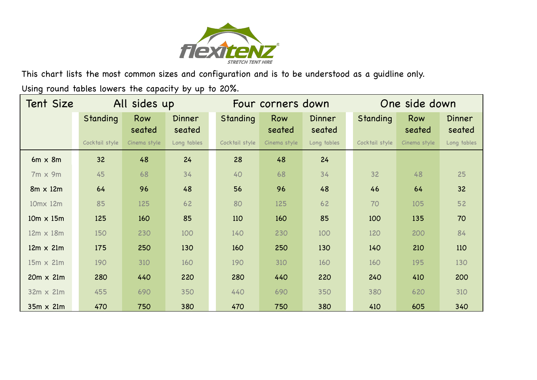

This chart lists the most common sizes and configuration and is to be understood as a guidline only.

Using round tables lowers the capacity by up to 20%.

| <b>Tent Size</b> | All sides up   |               |                         | Four corners down |               |                         | One side down  |               |                  |
|------------------|----------------|---------------|-------------------------|-------------------|---------------|-------------------------|----------------|---------------|------------------|
|                  | Standing       | Row<br>seated | <b>Dinner</b><br>seated | Standing          | Row<br>seated | <b>Dinner</b><br>seated | Standing       | Row<br>seated | Dinner<br>seated |
|                  | Cocktail style | Cinema style  | Long tables             | Cocktail style    | Cinema style  | Long tables             | Cocktail style | Cinema style  | Long tables      |
| $6m \times 8m$   | 32             | 48            | 24                      | 28                | 48            | 24                      |                |               |                  |
| $7m \times 9m$   | 45             | 68            | 34                      | 40                | 68            | 34                      | 32             | 48            | 25               |
| $8m \times 12m$  | 64             | 96            | 48                      | 56                | 96            | 48                      | 46             | 64            | 32               |
| 10mx 12m         | 85             | 125           | 62                      | 80                | 125           | 62                      | 70             | 105           | 52               |
| $10m \times 15m$ | 125            | 160           | 85                      | 110               | 160           | 85                      | 100            | 135           | 70               |
| $12m \times 18m$ | 150            | 230           | 100                     | 140               | 230           | 100                     | 120            | 200           | 84               |
| $12m \times 21m$ | 175            | 250           | 130                     | 160               | 250           | 130                     | 140            | 210           | 110              |
| $15m \times 21m$ | 190            | 310           | 160                     | 190               | 310           | 160                     | 160            | 195           | 130              |
| $20m \times 21m$ | 280            | 440           | 220                     | 280               | 440           | 220                     | 240            | 410           | 200              |
| $32m \times 21m$ | 455            | 690           | 350                     | 440               | 690           | 350                     | 380            | 620           | 310              |
| $35m \times 21m$ | 470            | 750           | 380                     | 470               | 750           | 380                     | 410            | 605           | 340              |